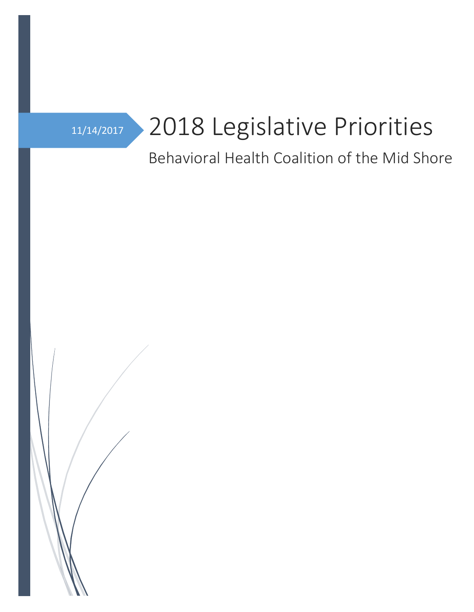

# 11/14/2017 2018 Legislative Priorities

## Behavioral Health Coalition of the Mid Shore

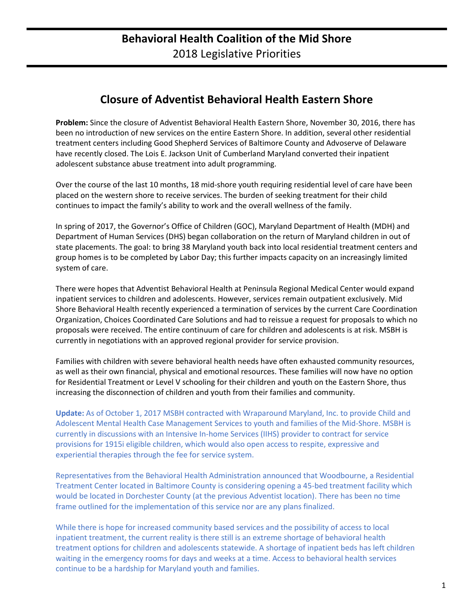## **Closure of Adventist Behavioral Health Eastern Shore**

**Problem:** Since the closure of Adventist Behavioral Health Eastern Shore, November 30, 2016, there has been no introduction of new services on the entire Eastern Shore. In addition, several other residential treatment centers including Good Shepherd Services of Baltimore County and Advoserve of Delaware have recently closed. The Lois E. Jackson Unit of Cumberland Maryland converted their inpatient adolescent substance abuse treatment into adult programming.

Over the course of the last 10 months, 18 mid-shore youth requiring residential level of care have been placed on the western shore to receive services. The burden of seeking treatment for their child continues to impact the family's ability to work and the overall wellness of the family.

In spring of 2017, the Governor's Office of Children (GOC), Maryland Department of Health (MDH) and Department of Human Services (DHS) began collaboration on the return of Maryland children in out of state placements. The goal: to bring 38 Maryland youth back into local residential treatment centers and group homes is to be completed by Labor Day; this further impacts capacity on an increasingly limited system of care.

There were hopes that Adventist Behavioral Health at Peninsula Regional Medical Center would expand inpatient services to children and adolescents. However, services remain outpatient exclusively. Mid Shore Behavioral Health recently experienced a termination of services by the current Care Coordination Organization, Choices Coordinated Care Solutions and had to reissue a request for proposals to which no proposals were received. The entire continuum of care for children and adolescents is at risk. MSBH is currently in negotiations with an approved regional provider for service provision.

Families with children with severe behavioral health needs have often exhausted community resources, as well as their own financial, physical and emotional resources. These families will now have no option for Residential Treatment or Level V schooling for their children and youth on the Eastern Shore, thus increasing the disconnection of children and youth from their families and community.

**Update:** As of October 1, 2017 MSBH contracted with Wraparound Maryland, Inc. to provide Child and Adolescent Mental Health Case Management Services to youth and families of the Mid-Shore. MSBH is currently in discussions with an Intensive In-home Services (IIHS) provider to contract for service provisions for 1915i eligible children, which would also open access to respite, expressive and experiential therapies through the fee for service system.

Representatives from the Behavioral Health Administration announced that Woodbourne, a Residential Treatment Center located in Baltimore County is considering opening a 45-bed treatment facility which would be located in Dorchester County (at the previous Adventist location). There has been no time frame outlined for the implementation of this service nor are any plans finalized.

While there is hope for increased community based services and the possibility of access to local inpatient treatment, the current reality is there still is an extreme shortage of behavioral health treatment options for children and adolescents statewide. A shortage of inpatient beds has left children waiting in the emergency rooms for days and weeks at a time. Access to behavioral health services continue to be a hardship for Maryland youth and families.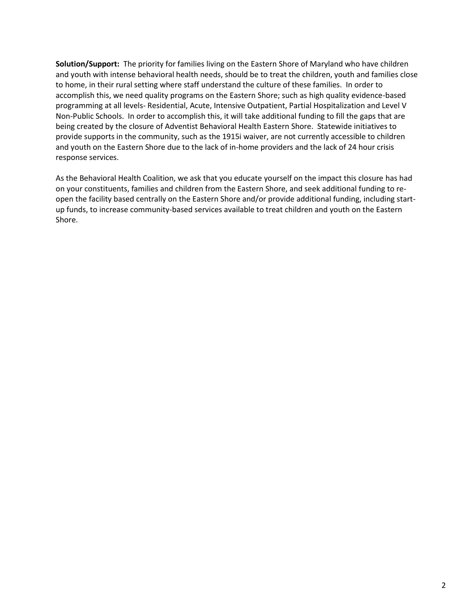**Solution/Support:** The priority for families living on the Eastern Shore of Maryland who have children and youth with intense behavioral health needs, should be to treat the children, youth and families close to home, in their rural setting where staff understand the culture of these families. In order to accomplish this, we need quality programs on the Eastern Shore; such as high quality evidence-based programming at all levels- Residential, Acute, Intensive Outpatient, Partial Hospitalization and Level V Non-Public Schools. In order to accomplish this, it will take additional funding to fill the gaps that are being created by the closure of Adventist Behavioral Health Eastern Shore. Statewide initiatives to provide supports in the community, such as the 1915i waiver, are not currently accessible to children and youth on the Eastern Shore due to the lack of in-home providers and the lack of 24 hour crisis response services.

As the Behavioral Health Coalition, we ask that you educate yourself on the impact this closure has had on your constituents, families and children from the Eastern Shore, and seek additional funding to reopen the facility based centrally on the Eastern Shore and/or provide additional funding, including startup funds, to increase community-based services available to treat children and youth on the Eastern Shore.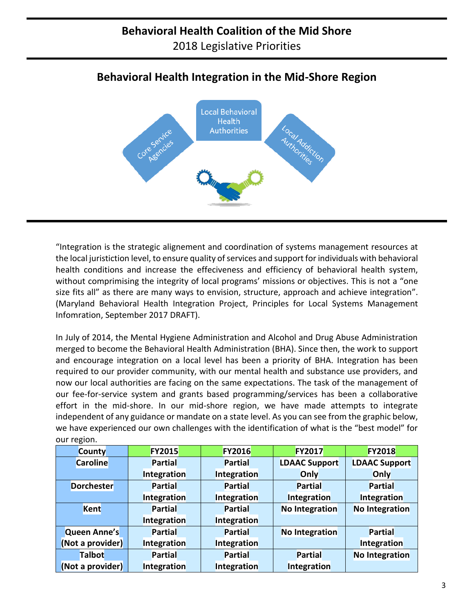## **Behavioral Health Integration in the Mid-Shore Region**



"Integration is the strategic alignement and coordination of systems management resources at the local juristiction level, to ensure quality of services and support for individuals with behavioral health conditions and increase the effeciveness and efficiency of behavioral health system, without comprimising the integrity of local programs' missions or objectives. This is not a "one size fits all" as there are many ways to envision, structure, approach and achieve integration". (Maryland Behavioral Health Integration Project, Principles for Local Systems Management Infomration, September 2017 DRAFT).

In July of 2014, the Mental Hygiene Administration and Alcohol and Drug Abuse Administration merged to become the Behavioral Health Administration (BHA). Since then, the work to support and encourage integration on a local level has been a priority of BHA. Integration has been required to our provider community, with our mental health and substance use providers, and now our local authorities are facing on the same expectations. The task of the management of our fee-for-service system and grants based programming/services has been a collaborative effort in the mid-shore. In our mid-shore region, we have made attempts to integrate independent of any guidance or mandate on a state level. As you can see from the graphic below, we have experienced our own challenges with the identification of what is the "best model" for our region.

| <b>County</b>       | <b>FY2015</b>  | <b>FY2016</b>  | <b>FY2017</b>        | <b>FY2018</b>        |
|---------------------|----------------|----------------|----------------------|----------------------|
| <b>Caroline</b>     | <b>Partial</b> | <b>Partial</b> | <b>LDAAC Support</b> | <b>LDAAC Support</b> |
|                     | Integration    | Integration    | Only                 | Only                 |
| <b>Dorchester</b>   | <b>Partial</b> | <b>Partial</b> | <b>Partial</b>       | <b>Partial</b>       |
|                     | Integration    | Integration    | Integration          | Integration          |
| Kent                | <b>Partial</b> | <b>Partial</b> | No Integration       | No Integration       |
|                     | Integration    | Integration    |                      |                      |
| <b>Queen Anne's</b> | <b>Partial</b> | <b>Partial</b> | No Integration       | <b>Partial</b>       |
| (Not a provider)    | Integration    | Integration    |                      | Integration          |
| <b>Talbot</b>       | <b>Partial</b> | <b>Partial</b> | <b>Partial</b>       | No Integration       |
| (Not a provider)    | Integration    | Integration    | Integration          |                      |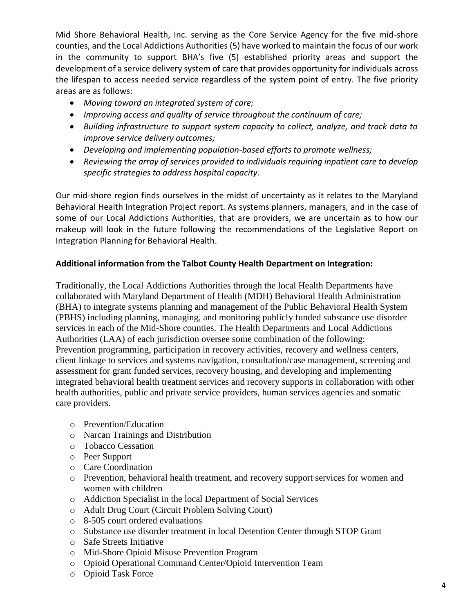Mid Shore Behavioral Health, Inc. serving as the Core Service Agency for the five mid-shore counties, and the Local Addictions Authorities (5) have worked to maintain the focus of our work in the community to support BHA's five (5) established priority areas and support the development of a service delivery system of care that provides opportunity for individuals across the lifespan to access needed service regardless of the system point of entry. The five priority areas are as follows:

- *Moving toward an integrated system of care;*
- *Improving access and quality of service throughout the continuum of care;*
- *Building infrastructure to support system capacity to collect, analyze, and track data to improve service delivery outcomes;*
- *Developing and implementing population-based efforts to promote wellness;*
- *Reviewing the array of services provided to individuals requiring inpatient care to develop specific strategies to address hospital capacity.*

Our mid-shore region finds ourselves in the midst of uncertainty as it relates to the Maryland Behavioral Health Integration Project report. As systems planners, managers, and in the case of some of our Local Addictions Authorities, that are providers, we are uncertain as to how our makeup will look in the future following the recommendations of the Legislative Report on Integration Planning for Behavioral Health.

## **Additional information from the Talbot County Health Department on Integration:**

Traditionally, the Local Addictions Authorities through the local Health Departments have collaborated with Maryland Department of Health (MDH) Behavioral Health Administration (BHA) to integrate systems planning and management of the Public Behavioral Health System (PBHS) including planning, managing, and monitoring publicly funded substance use disorder services in each of the Mid-Shore counties. The Health Departments and Local Addictions Authorities (LAA) of each jurisdiction oversee some combination of the following: Prevention programming, participation in recovery activities, recovery and wellness centers, client linkage to services and systems navigation, consultation/case management, screening and assessment for grant funded services, recovery housing, and developing and implementing integrated behavioral health treatment services and recovery supports in collaboration with other health authorities, public and private service providers, human services agencies and somatic care providers.

- o Prevention/Education
- o Narcan Trainings and Distribution
- o Tobacco Cessation
- o Peer Support
- o Care Coordination
- o Prevention, behavioral health treatment, and recovery support services for women and women with children
- o Addiction Specialist in the local Department of Social Services
- o Adult Drug Court (Circuit Problem Solving Court)
- o 8-505 court ordered evaluations
- o Substance use disorder treatment in local Detention Center through STOP Grant
- o Safe Streets Initiative
- o Mid-Shore Opioid Misuse Prevention Program
- o Opioid Operational Command Center/Opioid Intervention Team
- o Opioid Task Force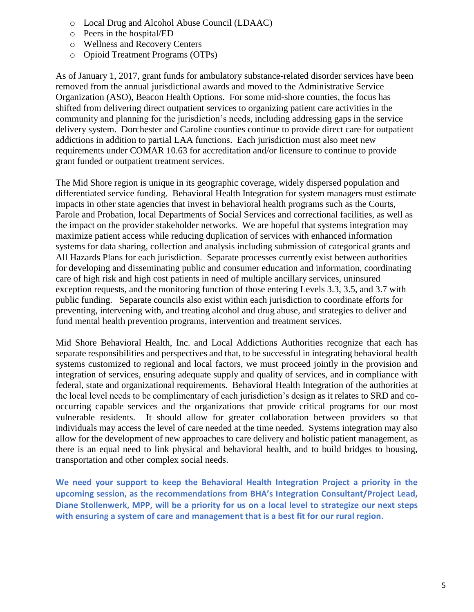- o Local Drug and Alcohol Abuse Council (LDAAC)
- o Peers in the hospital/ED
- o Wellness and Recovery Centers
- o Opioid Treatment Programs (OTPs)

As of January 1, 2017, grant funds for ambulatory substance-related disorder services have been removed from the annual jurisdictional awards and moved to the Administrative Service Organization (ASO), Beacon Health Options. For some mid-shore counties, the focus has shifted from delivering direct outpatient services to organizing patient care activities in the community and planning for the jurisdiction's needs, including addressing gaps in the service delivery system. Dorchester and Caroline counties continue to provide direct care for outpatient addictions in addition to partial LAA functions. Each jurisdiction must also meet new requirements under COMAR 10.63 for accreditation and/or licensure to continue to provide grant funded or outpatient treatment services.

The Mid Shore region is unique in its geographic coverage, widely dispersed population and differentiated service funding. Behavioral Health Integration for system managers must estimate impacts in other state agencies that invest in behavioral health programs such as the Courts, Parole and Probation, local Departments of Social Services and correctional facilities, as well as the impact on the provider stakeholder networks. We are hopeful that systems integration may maximize patient access while reducing duplication of services with enhanced information systems for data sharing, collection and analysis including submission of categorical grants and All Hazards Plans for each jurisdiction. Separate processes currently exist between authorities for developing and disseminating public and consumer education and information, coordinating care of high risk and high cost patients in need of multiple ancillary services, uninsured exception requests, and the monitoring function of those entering Levels 3.3, 3.5, and 3.7 with public funding. Separate councils also exist within each jurisdiction to coordinate efforts for preventing, intervening with, and treating alcohol and drug abuse, and strategies to deliver and fund mental health prevention programs, intervention and treatment services.

Mid Shore Behavioral Health, Inc. and Local Addictions Authorities recognize that each has separate responsibilities and perspectives and that, to be successful in integrating behavioral health systems customized to regional and local factors, we must proceed jointly in the provision and integration of services, ensuring adequate supply and quality of services, and in compliance with federal, state and organizational requirements. Behavioral Health Integration of the authorities at the local level needs to be complimentary of each jurisdiction's design as it relates to SRD and cooccurring capable services and the organizations that provide critical programs for our most vulnerable residents. It should allow for greater collaboration between providers so that individuals may access the level of care needed at the time needed. Systems integration may also allow for the development of new approaches to care delivery and holistic patient management, as there is an equal need to link physical and behavioral health, and to build bridges to housing, transportation and other complex social needs.

**We need your support to keep the Behavioral Health Integration Project a priority in the upcoming session, as the recommendations from BHA's Integration Consultant/Project Lead, Diane Stollenwerk, MPP, will be a priority for us on a local level to strategize our next steps with ensuring a system of care and management that is a best fit for our rural region.**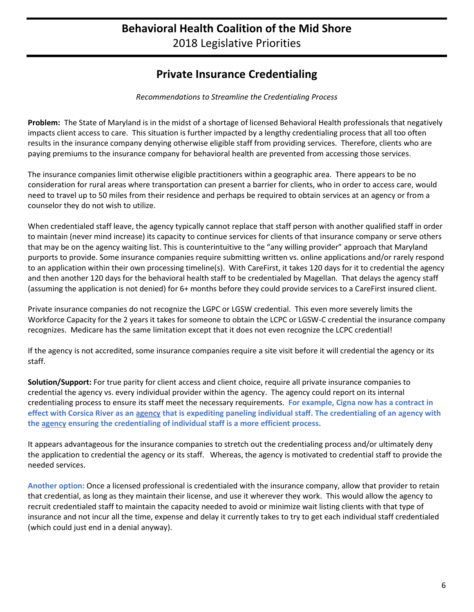## **Behavioral Health Coalition of the Mid Shore** 2018 Legislative Priorities

## **Private Insurance Credentialing**

*Recommendations to Streamline the Credentialing Process*

**Problem:** The State of Maryland is in the midst of a shortage of licensed Behavioral Health professionals that negatively impacts client access to care. This situation is further impacted by a lengthy credentialing process that all too often results in the insurance company denying otherwise eligible staff from providing services. Therefore, clients who are paying premiums to the insurance company for behavioral health are prevented from accessing those services.

The insurance companies limit otherwise eligible practitioners within a geographic area. There appears to be no consideration for rural areas where transportation can present a barrier for clients, who in order to access care, would need to travel up to 50 miles from their residence and perhaps be required to obtain services at an agency or from a counselor they do not wish to utilize.

When credentialed staff leave, the agency typically cannot replace that staff person with another qualified staff in order to maintain (never mind increase) its capacity to continue services for clients of that insurance company or serve others that may be on the agency waiting list. This is counterintuitive to the "any willing provider" approach that Maryland purports to provide. Some insurance companies require submitting written vs. online applications and/or rarely respond to an application within their own processing timeline(s). With CareFirst, it takes 120 days for it to credential the agency and then another 120 days for the behavioral health staff to be credentialed by Magellan. That delays the agency staff (assuming the application is not denied) for 6+ months before they could provide services to a CareFirst insured client.

Private insurance companies do not recognize the LGPC or LGSW credential. This even more severely limits the Workforce Capacity for the 2 years it takes for someone to obtain the LCPC or LGSW-C credential the insurance company recognizes. Medicare has the same limitation except that it does not even recognize the LCPC credential!

If the agency is not accredited, some insurance companies require a site visit before it will credential the agency or its staff.

**Solution/Support:** For true parity for client access and client choice, require all private insurance companies to credential the agency vs. every individual provider within the agency. The agency could report on its internal credentialing process to ensure its staff meet the necessary requirements. **For example, Cigna now has a contract in effect with Corsica River as an agency that is expediting paneling individual staff. The credentialing of an agency with the agency ensuring the credentialing of individual staff is a more efficient process.**

It appears advantageous for the insurance companies to stretch out the credentialing process and/or ultimately deny the application to credential the agency or its staff. Whereas, the agency is motivated to credential staff to provide the needed services.

**Another option:** Once a licensed professional is credentialed with the insurance company, allow that provider to retain that credential, as long as they maintain their license, and use it wherever they work. This would allow the agency to recruit credentialed staff to maintain the capacity needed to avoid or minimize wait listing clients with that type of insurance and not incur all the time, expense and delay it currently takes to try to get each individual staff credentialed (which could just end in a denial anyway).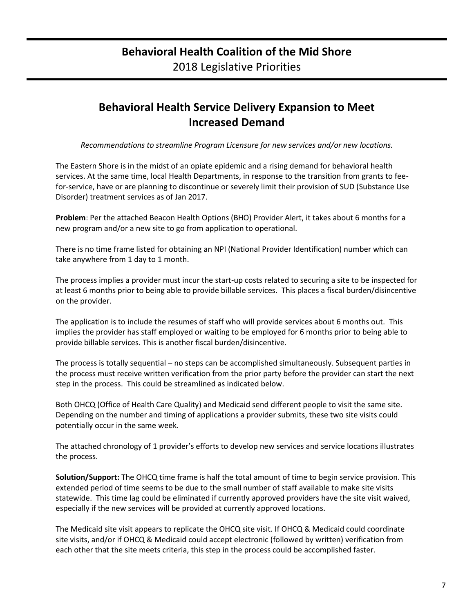## **Behavioral Health Service Delivery Expansion to Meet Increased Demand**

*Recommendations to streamline Program Licensure for new services and/or new locations.*

The Eastern Shore is in the midst of an opiate epidemic and a rising demand for behavioral health services. At the same time, local Health Departments, in response to the transition from grants to feefor-service, have or are planning to discontinue or severely limit their provision of SUD (Substance Use Disorder) treatment services as of Jan 2017.

**Problem**: Per the attached Beacon Health Options (BHO) Provider Alert, it takes about 6 months for a new program and/or a new site to go from application to operational.

There is no time frame listed for obtaining an NPI (National Provider Identification) number which can take anywhere from 1 day to 1 month.

The process implies a provider must incur the start-up costs related to securing a site to be inspected for at least 6 months prior to being able to provide billable services. This places a fiscal burden/disincentive on the provider.

The application is to include the resumes of staff who will provide services about 6 months out. This implies the provider has staff employed or waiting to be employed for 6 months prior to being able to provide billable services. This is another fiscal burden/disincentive.

The process is totally sequential – no steps can be accomplished simultaneously. Subsequent parties in the process must receive written verification from the prior party before the provider can start the next step in the process. This could be streamlined as indicated below.

Both OHCQ (Office of Health Care Quality) and Medicaid send different people to visit the same site. Depending on the number and timing of applications a provider submits, these two site visits could potentially occur in the same week.

The attached chronology of 1 provider's efforts to develop new services and service locations illustrates the process.

**Solution/Support:** The OHCQ time frame is half the total amount of time to begin service provision. This extended period of time seems to be due to the small number of staff available to make site visits statewide. This time lag could be eliminated if currently approved providers have the site visit waived, especially if the new services will be provided at currently approved locations.

The Medicaid site visit appears to replicate the OHCQ site visit. If OHCQ & Medicaid could coordinate site visits, and/or if OHCQ & Medicaid could accept electronic (followed by written) verification from each other that the site meets criteria, this step in the process could be accomplished faster.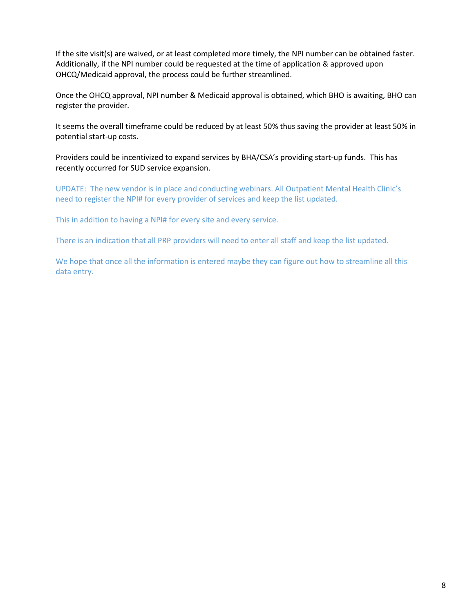If the site visit(s) are waived, or at least completed more timely, the NPI number can be obtained faster. Additionally, if the NPI number could be requested at the time of application & approved upon OHCQ/Medicaid approval, the process could be further streamlined.

Once the OHCQ approval, NPI number & Medicaid approval is obtained, which BHO is awaiting, BHO can register the provider.

It seems the overall timeframe could be reduced by at least 50% thus saving the provider at least 50% in potential start-up costs.

Providers could be incentivized to expand services by BHA/CSA's providing start-up funds. This has recently occurred for SUD service expansion.

UPDATE: The new vendor is in place and conducting webinars. All Outpatient Mental Health Clinic's need to register the NPI# for every provider of services and keep the list updated.

This in addition to having a NPI# for every site and every service.

There is an indication that all PRP providers will need to enter all staff and keep the list updated.

We hope that once all the information is entered maybe they can figure out how to streamline all this data entry.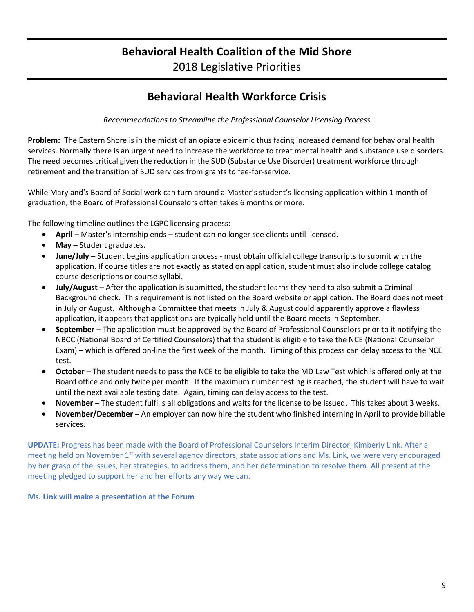## **Behavioral Health Coalition of the Mid Shore** 2018 Legislative Priorities

## **Behavioral Health Workforce Crisis**

*Recommendations to Streamline the Professional Counselor Licensing Process*

**Problem:** The Eastern Shore is in the midst of an opiate epidemic thus facing increased demand for behavioral health services. Normally there is an urgent need to increase the workforce to treat mental health and substance use disorders. The need becomes critical given the reduction in the SUD (Substance Use Disorder) treatment workforce through retirement and the transition of SUD services from grants to fee-for-service.

While Maryland's Board of Social work can turn around a Master's student's licensing application within 1 month of graduation, the Board of Professional Counselors often takes 6 months or more.

The following timeline outlines the LGPC licensing process:

- **April** Master's internship ends student can no longer see clients until licensed.
- **May** Student graduates.
- **June/July** Student begins application process must obtain official college transcripts to submit with the application. If course titles are not exactly as stated on application, student must also include college catalog course descriptions or course syllabi.
- **July/August** After the application is submitted, the student learns they need to also submit a Criminal Background check. This requirement is not listed on the Board website or application. The Board does not meet in July or August. Although a Committee that meets in July & August could apparently approve a flawless application, it appears that applications are typically held until the Board meets in September.
- **September**  The application must be approved by the Board of Professional Counselors prior to it notifying the NBCC (National Board of Certified Counselors) that the student is eligible to take the NCE (National Counselor Exam) – which is offered on-line the first week of the month. Timing of this process can delay access to the NCE test.
- **October** The student needs to pass the NCE to be eligible to take the MD Law Test which is offered only at the Board office and only twice per month. If the maximum number testing is reached, the student will have to wait until the next available testing date. Again, timing can delay access to the test.
- **November**  The student fulfills all obligations and waits for the license to be issued. This takes about 3 weeks.
- **November/December** An employer can now hire the student who finished interning in April to provide billable services.

**UPDATE:** Progress has been made with the Board of Professional Counselors Interim Director, Kimberly Link. After a meeting held on November 1<sup>st</sup> with several agency directors, state associations and Ms. Link, we were very encouraged by her grasp of the issues, her strategies, to address them, and her determination to resolve them. All present at the meeting pledged to support her and her efforts any way we can.

#### **Ms. Link will make a presentation at the Forum**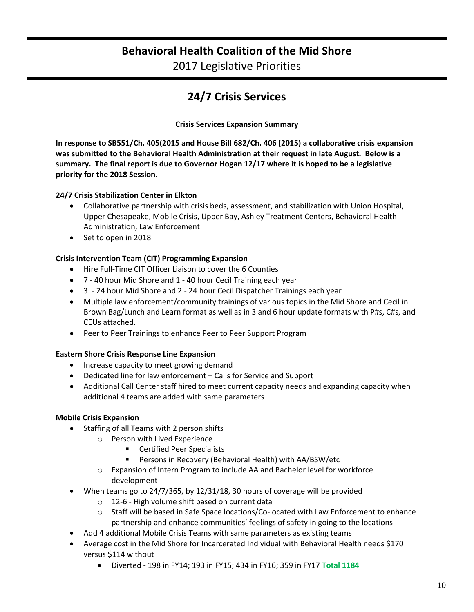## **Behavioral Health Coalition of the Mid Shore**

2017 Legislative Priorities

## **24/7 Crisis Services**

**Crisis Services Expansion Summary**

**In response to SB551/Ch. 405(2015 and House Bill 682/Ch. 406 (2015) a collaborative crisis expansion was submitted to the Behavioral Health Administration at their request in late August. Below is a summary. The final report is due to Governor Hogan 12/17 where it is hoped to be a legislative priority for the 2018 Session.** 

### **24/7 Crisis Stabilization Center in Elkton**

- Collaborative partnership with crisis beds, assessment, and stabilization with Union Hospital, Upper Chesapeake, Mobile Crisis, Upper Bay, Ashley Treatment Centers, Behavioral Health Administration, Law Enforcement
- Set to open in 2018

## **Crisis Intervention Team (CIT) Programming Expansion**

- Hire Full-Time CIT Officer Liaison to cover the 6 Counties
- 7 40 hour Mid Shore and 1 40 hour Cecil Training each year
- 3 24 hour Mid Shore and 2 24 hour Cecil Dispatcher Trainings each year
- Multiple law enforcement/community trainings of various topics in the Mid Shore and Cecil in Brown Bag/Lunch and Learn format as well as in 3 and 6 hour update formats with P#s, C#s, and CEUs attached.
- Peer to Peer Trainings to enhance Peer to Peer Support Program

### **Eastern Shore Crisis Response Line Expansion**

- Increase capacity to meet growing demand
- Dedicated line for law enforcement Calls for Service and Support
- Additional Call Center staff hired to meet current capacity needs and expanding capacity when additional 4 teams are added with same parameters

### **Mobile Crisis Expansion**

- Staffing of all Teams with 2 person shifts
	- o Person with Lived Experience
		- Certified Peer Specialists
		- Persons in Recovery (Behavioral Health) with AA/BSW/etc
	- o Expansion of Intern Program to include AA and Bachelor level for workforce development
- When teams go to 24/7/365, by 12/31/18, 30 hours of coverage will be provided
	- o 12-6 High volume shift based on current data
	- $\circ$  Staff will be based in Safe Space locations/Co-located with Law Enforcement to enhance partnership and enhance communities' feelings of safety in going to the locations
- Add 4 additional Mobile Crisis Teams with same parameters as existing teams
- Average cost in the Mid Shore for Incarcerated Individual with Behavioral Health needs \$170 versus \$114 without
	- Diverted 198 in FY14; 193 in FY15; 434 in FY16; 359 in FY17 **Total 1184**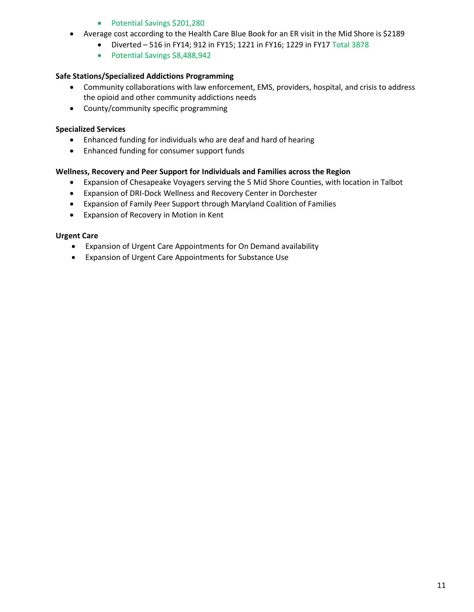#### • Potential Savings \$201,280

- Average cost according to the Health Care Blue Book for an ER visit in the Mid Shore is \$2189
	- Diverted  $-516$  in FY14; 912 in FY15; 1221 in FY16; 1229 in FY17 Total 3878
	- Potential Savings \$8,488,942

#### **Safe Stations/Specialized Addictions Programming**

- Community collaborations with law enforcement, EMS, providers, hospital, and crisis to address the opioid and other community addictions needs
- County/community specific programming

#### **Specialized Services**

- Enhanced funding for individuals who are deaf and hard of hearing
- Enhanced funding for consumer support funds

#### **Wellness, Recovery and Peer Support for Individuals and Families across the Region**

- Expansion of Chesapeake Voyagers serving the 5 Mid Shore Counties, with location in Talbot
- Expansion of DRI-Dock Wellness and Recovery Center in Dorchester
- Expansion of Family Peer Support through Maryland Coalition of Families
- Expansion of Recovery in Motion in Kent

#### **Urgent Care**

- Expansion of Urgent Care Appointments for On Demand availability
- Expansion of Urgent Care Appointments for Substance Use